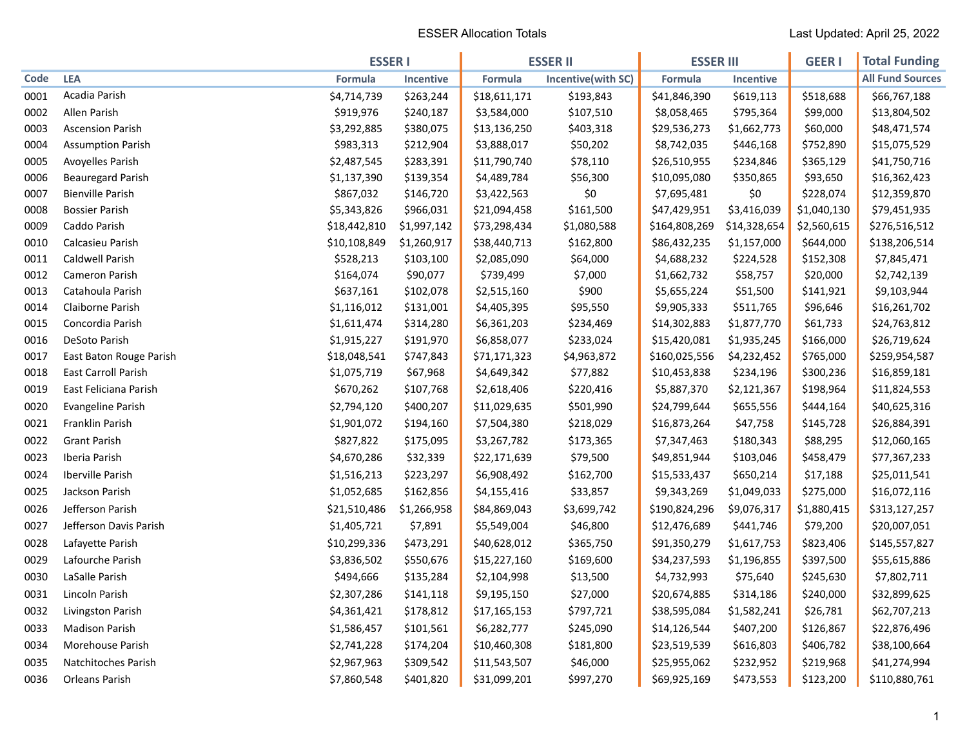|      |                          | <b>ESSER I</b> |             | <b>ESSER II</b> |                    | <b>ESSER III</b> |                  | <b>GEER I</b> | <b>Total Funding</b>    |
|------|--------------------------|----------------|-------------|-----------------|--------------------|------------------|------------------|---------------|-------------------------|
| Code | <b>LEA</b>               | <b>Formula</b> | Incentive   | Formula         | Incentive(with SC) | Formula          | <b>Incentive</b> |               | <b>All Fund Sources</b> |
| 0001 | Acadia Parish            | \$4,714,739    | \$263,244   | \$18,611,171    | \$193,843          | \$41,846,390     | \$619,113        | \$518,688     | \$66,767,188            |
| 0002 | Allen Parish             | \$919,976      | \$240,187   | \$3,584,000     | \$107,510          | \$8,058,465      | \$795,364        | \$99,000      | \$13,804,502            |
| 0003 | <b>Ascension Parish</b>  | \$3,292,885    | \$380,075   | \$13,136,250    | \$403,318          | \$29,536,273     | \$1,662,773      | \$60,000      | \$48,471,574            |
| 0004 | <b>Assumption Parish</b> | \$983,313      | \$212,904   | \$3,888,017     | \$50,202           | \$8,742,035      | \$446,168        | \$752,890     | \$15,075,529            |
| 0005 | Avoyelles Parish         | \$2,487,545    | \$283,391   | \$11,790,740    | \$78,110           | \$26,510,955     | \$234,846        | \$365,129     | \$41,750,716            |
| 0006 | <b>Beauregard Parish</b> | \$1,137,390    | \$139,354   | \$4,489,784     | \$56,300           | \$10,095,080     | \$350,865        | \$93,650      | \$16,362,423            |
| 0007 | <b>Bienville Parish</b>  | \$867,032      | \$146,720   | \$3,422,563     | \$0                | \$7,695,481      | \$0              | \$228,074     | \$12,359,870            |
| 0008 | <b>Bossier Parish</b>    | \$5,343,826    | \$966,031   | \$21,094,458    | \$161,500          | \$47,429,951     | \$3,416,039      | \$1,040,130   | \$79,451,935            |
| 0009 | Caddo Parish             | \$18,442,810   | \$1,997,142 | \$73,298,434    | \$1,080,588        | \$164,808,269    | \$14,328,654     | \$2,560,615   | \$276,516,512           |
| 0010 | Calcasieu Parish         | \$10,108,849   | \$1,260,917 | \$38,440,713    | \$162,800          | \$86,432,235     | \$1,157,000      | \$644,000     | \$138,206,514           |
| 0011 | Caldwell Parish          | \$528,213      | \$103,100   | \$2,085,090     | \$64,000           | \$4,688,232      | \$224,528        | \$152,308     | \$7,845,471             |
| 0012 | Cameron Parish           | \$164,074      | \$90,077    | \$739,499       | \$7,000            | \$1,662,732      | \$58,757         | \$20,000      | \$2,742,139             |
| 0013 | Catahoula Parish         | \$637,161      | \$102,078   | \$2,515,160     | \$900              | \$5,655,224      | \$51,500         | \$141,921     | \$9,103,944             |
| 0014 | Claiborne Parish         | \$1,116,012    | \$131,001   | \$4,405,395     | \$95,550           | \$9,905,333      | \$511,765        | \$96,646      | \$16,261,702            |
| 0015 | Concordia Parish         | \$1,611,474    | \$314,280   | \$6,361,203     | \$234,469          | \$14,302,883     | \$1,877,770      | \$61,733      | \$24,763,812            |
| 0016 | DeSoto Parish            | \$1,915,227    | \$191,970   | \$6,858,077     | \$233,024          | \$15,420,081     | \$1,935,245      | \$166,000     | \$26,719,624            |
| 0017 | East Baton Rouge Parish  | \$18,048,541   | \$747,843   | \$71,171,323    | \$4,963,872        | \$160,025,556    | \$4,232,452      | \$765,000     | \$259,954,587           |
| 0018 | East Carroll Parish      | \$1,075,719    | \$67,968    | \$4,649,342     | \$77,882           | \$10,453,838     | \$234,196        | \$300,236     | \$16,859,181            |
| 0019 | East Feliciana Parish    | \$670,262      | \$107,768   | \$2,618,406     | \$220,416          | \$5,887,370      | \$2,121,367      | \$198,964     | \$11,824,553            |
| 0020 | <b>Evangeline Parish</b> | \$2,794,120    | \$400,207   | \$11,029,635    | \$501,990          | \$24,799,644     | \$655,556        | \$444,164     | \$40,625,316            |
| 0021 | Franklin Parish          | \$1,901,072    | \$194,160   | \$7,504,380     | \$218,029          | \$16,873,264     | \$47,758         | \$145,728     | \$26,884,391            |
| 0022 | <b>Grant Parish</b>      | \$827,822      | \$175,095   | \$3,267,782     | \$173,365          | \$7,347,463      | \$180,343        | \$88,295      | \$12,060,165            |
| 0023 | Iberia Parish            | \$4,670,286    | \$32,339    | \$22,171,639    | \$79,500           | \$49,851,944     | \$103,046        | \$458,479     | \$77,367,233            |
| 0024 | Iberville Parish         | \$1,516,213    | \$223,297   | \$6,908,492     | \$162,700          | \$15,533,437     | \$650,214        | \$17,188      | \$25,011,541            |
| 0025 | Jackson Parish           | \$1,052,685    | \$162,856   | \$4,155,416     | \$33,857           | \$9,343,269      | \$1,049,033      | \$275,000     | \$16,072,116            |
| 0026 | Jefferson Parish         | \$21,510,486   | \$1,266,958 | \$84,869,043    | \$3,699,742        | \$190,824,296    | \$9,076,317      | \$1,880,415   | \$313,127,257           |
| 0027 | Jefferson Davis Parish   | \$1,405,721    | \$7,891     | \$5,549,004     | \$46,800           | \$12,476,689     | \$441,746        | \$79,200      | \$20,007,051            |
| 0028 | Lafayette Parish         | \$10,299,336   | \$473,291   | \$40,628,012    | \$365,750          | \$91,350,279     | \$1,617,753      | \$823,406     | \$145,557,827           |
| 0029 | Lafourche Parish         | \$3,836,502    | \$550,676   | \$15,227,160    | \$169,600          | \$34,237,593     | \$1,196,855      | \$397,500     | \$55,615,886            |
| 0030 | LaSalle Parish           | \$494,666      | \$135,284   | \$2,104,998     | \$13,500           | \$4,732,993      | \$75,640         | \$245,630     | \$7,802,711             |
| 0031 | Lincoln Parish           | \$2,307,286    | \$141,118   | \$9,195,150     | \$27,000           | \$20,674,885     | \$314,186        | \$240,000     | \$32,899,625            |
| 0032 | Livingston Parish        | \$4,361,421    | \$178,812   | \$17,165,153    | \$797,721          | \$38,595,084     | \$1,582,241      | \$26,781      | \$62,707,213            |
| 0033 | <b>Madison Parish</b>    | \$1,586,457    | \$101,561   | \$6,282,777     | \$245,090          | \$14,126,544     | \$407,200        | \$126,867     | \$22,876,496            |
| 0034 | Morehouse Parish         | \$2,741,228    | \$174,204   | \$10,460,308    | \$181,800          | \$23,519,539     | \$616,803        | \$406,782     | \$38,100,664            |
| 0035 | Natchitoches Parish      | \$2,967,963    | \$309,542   | \$11,543,507    | \$46,000           | \$25,955,062     | \$232,952        | \$219,968     | \$41,274,994            |
| 0036 | Orleans Parish           | \$7,860,548    | \$401,820   | \$31,099,201    | \$997,270          | \$69,925,169     | \$473,553        | \$123,200     | \$110,880,761           |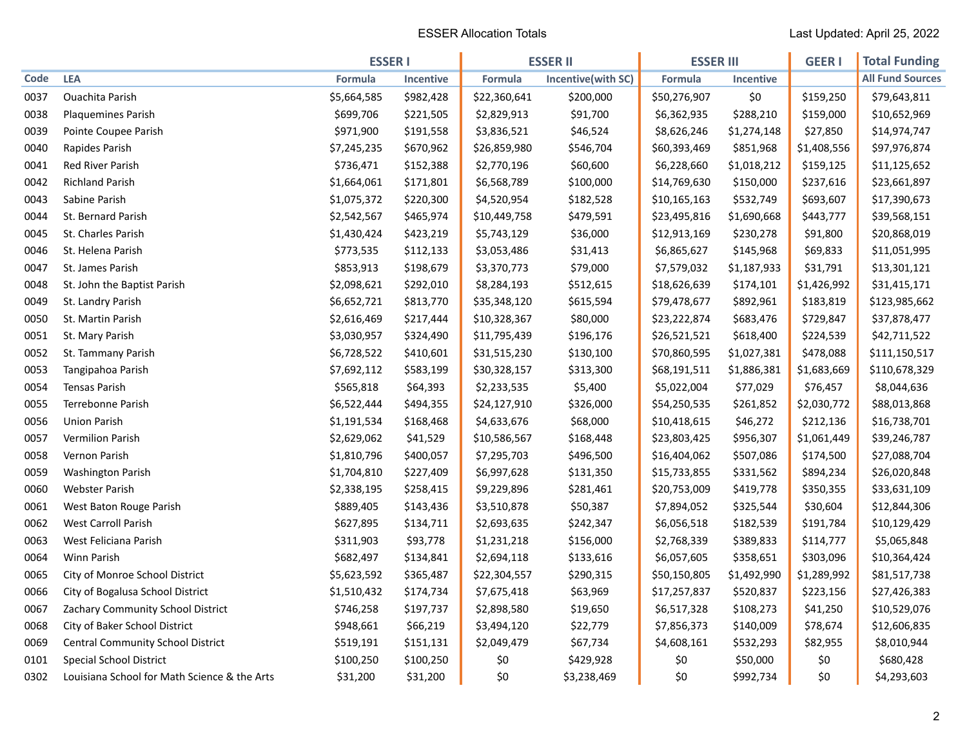|      |                                              | <b>ESSER I</b> |           | <b>ESSER II</b> |                    | <b>ESSER III</b> |                  | <b>GEER I</b> | <b>Total Funding</b>    |
|------|----------------------------------------------|----------------|-----------|-----------------|--------------------|------------------|------------------|---------------|-------------------------|
| Code | <b>LEA</b>                                   | Formula        | Incentive | <b>Formula</b>  | Incentive(with SC) | Formula          | <b>Incentive</b> |               | <b>All Fund Sources</b> |
| 0037 | <b>Ouachita Parish</b>                       | \$5,664,585    | \$982,428 | \$22,360,641    | \$200,000          | \$50,276,907     | \$0              | \$159,250     | \$79,643,811            |
| 0038 | <b>Plaquemines Parish</b>                    | \$699,706      | \$221,505 | \$2,829,913     | \$91,700           | \$6,362,935      | \$288,210        | \$159,000     | \$10,652,969            |
| 0039 | Pointe Coupee Parish                         | \$971,900      | \$191,558 | \$3,836,521     | \$46,524           | \$8,626,246      | \$1,274,148      | \$27,850      | \$14,974,747            |
| 0040 | Rapides Parish                               | \$7,245,235    | \$670,962 | \$26,859,980    | \$546,704          | \$60,393,469     | \$851,968        | \$1,408,556   | \$97,976,874            |
| 0041 | Red River Parish                             | \$736,471      | \$152,388 | \$2,770,196     | \$60,600           | \$6,228,660      | \$1,018,212      | \$159,125     | \$11,125,652            |
| 0042 | <b>Richland Parish</b>                       | \$1,664,061    | \$171,801 | \$6,568,789     | \$100,000          | \$14,769,630     | \$150,000        | \$237,616     | \$23,661,897            |
| 0043 | Sabine Parish                                | \$1,075,372    | \$220,300 | \$4,520,954     | \$182,528          | \$10,165,163     | \$532,749        | \$693,607     | \$17,390,673            |
| 0044 | St. Bernard Parish                           | \$2,542,567    | \$465,974 | \$10,449,758    | \$479,591          | \$23,495,816     | \$1,690,668      | \$443,777     | \$39,568,151            |
| 0045 | St. Charles Parish                           | \$1,430,424    | \$423,219 | \$5,743,129     | \$36,000           | \$12,913,169     | \$230,278        | \$91,800      | \$20,868,019            |
| 0046 | St. Helena Parish                            | \$773,535      | \$112,133 | \$3,053,486     | \$31,413           | \$6,865,627      | \$145,968        | \$69,833      | \$11,051,995            |
| 0047 | St. James Parish                             | \$853,913      | \$198,679 | \$3,370,773     | \$79,000           | \$7,579,032      | \$1,187,933      | \$31,791      | \$13,301,121            |
| 0048 | St. John the Baptist Parish                  | \$2,098,621    | \$292,010 | \$8,284,193     | \$512,615          | \$18,626,639     | \$174,101        | \$1,426,992   | \$31,415,171            |
| 0049 | St. Landry Parish                            | \$6,652,721    | \$813,770 | \$35,348,120    | \$615,594          | \$79,478,677     | \$892,961        | \$183,819     | \$123,985,662           |
| 0050 | St. Martin Parish                            | \$2,616,469    | \$217,444 | \$10,328,367    | \$80,000           | \$23,222,874     | \$683,476        | \$729,847     | \$37,878,477            |
| 0051 | St. Mary Parish                              | \$3,030,957    | \$324,490 | \$11,795,439    | \$196,176          | \$26,521,521     | \$618,400        | \$224,539     | \$42,711,522            |
| 0052 | St. Tammany Parish                           | \$6,728,522    | \$410,601 | \$31,515,230    | \$130,100          | \$70,860,595     | \$1,027,381      | \$478,088     | \$111,150,517           |
| 0053 | Tangipahoa Parish                            | \$7,692,112    | \$583,199 | \$30,328,157    | \$313,300          | \$68,191,511     | \$1,886,381      | \$1,683,669   | \$110,678,329           |
| 0054 | <b>Tensas Parish</b>                         | \$565,818      | \$64,393  | \$2,233,535     | \$5,400            | \$5,022,004      | \$77,029         | \$76,457      | \$8,044,636             |
| 0055 | Terrebonne Parish                            | \$6,522,444    | \$494,355 | \$24,127,910    | \$326,000          | \$54,250,535     | \$261,852        | \$2,030,772   | \$88,013,868            |
| 0056 | <b>Union Parish</b>                          | \$1,191,534    | \$168,468 | \$4,633,676     | \$68,000           | \$10,418,615     | \$46,272         | \$212,136     | \$16,738,701            |
| 0057 | Vermilion Parish                             | \$2,629,062    | \$41,529  | \$10,586,567    | \$168,448          | \$23,803,425     | \$956,307        | \$1,061,449   | \$39,246,787            |
| 0058 | Vernon Parish                                | \$1,810,796    | \$400,057 | \$7,295,703     | \$496,500          | \$16,404,062     | \$507,086        | \$174,500     | \$27,088,704            |
| 0059 | <b>Washington Parish</b>                     | \$1,704,810    | \$227,409 | \$6,997,628     | \$131,350          | \$15,733,855     | \$331,562        | \$894,234     | \$26,020,848            |
| 0060 | <b>Webster Parish</b>                        | \$2,338,195    | \$258,415 | \$9,229,896     | \$281,461          | \$20,753,009     | \$419,778        | \$350,355     | \$33,631,109            |
| 0061 | West Baton Rouge Parish                      | \$889,405      | \$143,436 | \$3,510,878     | \$50,387           | \$7,894,052      | \$325,544        | \$30,604      | \$12,844,306            |
| 0062 | West Carroll Parish                          | \$627,895      | \$134,711 | \$2,693,635     | \$242,347          | \$6,056,518      | \$182,539        | \$191,784     | \$10,129,429            |
| 0063 | West Feliciana Parish                        | \$311,903      | \$93,778  | \$1,231,218     | \$156,000          | \$2,768,339      | \$389,833        | \$114,777     | \$5,065,848             |
| 0064 | Winn Parish                                  | \$682,497      | \$134,841 | \$2,694,118     | \$133,616          | \$6,057,605      | \$358,651        | \$303,096     | \$10,364,424            |
| 0065 | City of Monroe School District               | \$5,623,592    | \$365,487 | \$22,304,557    | \$290,315          | \$50,150,805     | \$1,492,990      | \$1,289,992   | \$81,517,738            |
| 0066 | City of Bogalusa School District             | \$1,510,432    | \$174,734 | \$7,675,418     | \$63,969           | \$17,257,837     | \$520,837        | \$223,156     | \$27,426,383            |
| 0067 | Zachary Community School District            | \$746,258      | \$197,737 | \$2,898,580     | \$19,650           | \$6,517,328      | \$108,273        | \$41,250      | \$10,529,076            |
| 0068 | City of Baker School District                | \$948,661      | \$66,219  | \$3,494,120     | \$22,779           | \$7,856,373      | \$140,009        | \$78,674      | \$12,606,835            |
| 0069 | Central Community School District            | \$519,191      | \$151,131 | \$2,049,479     | \$67,734           | \$4,608,161      | \$532,293        | \$82,955      | \$8,010,944             |
| 0101 | <b>Special School District</b>               | \$100,250      | \$100,250 | \$0             | \$429,928          | \$0              | \$50,000         | \$0           | \$680,428               |
| 0302 | Louisiana School for Math Science & the Arts | \$31,200       | \$31,200  | \$0             | \$3,238,469        | \$0              | \$992,734        | \$0           | \$4,293,603             |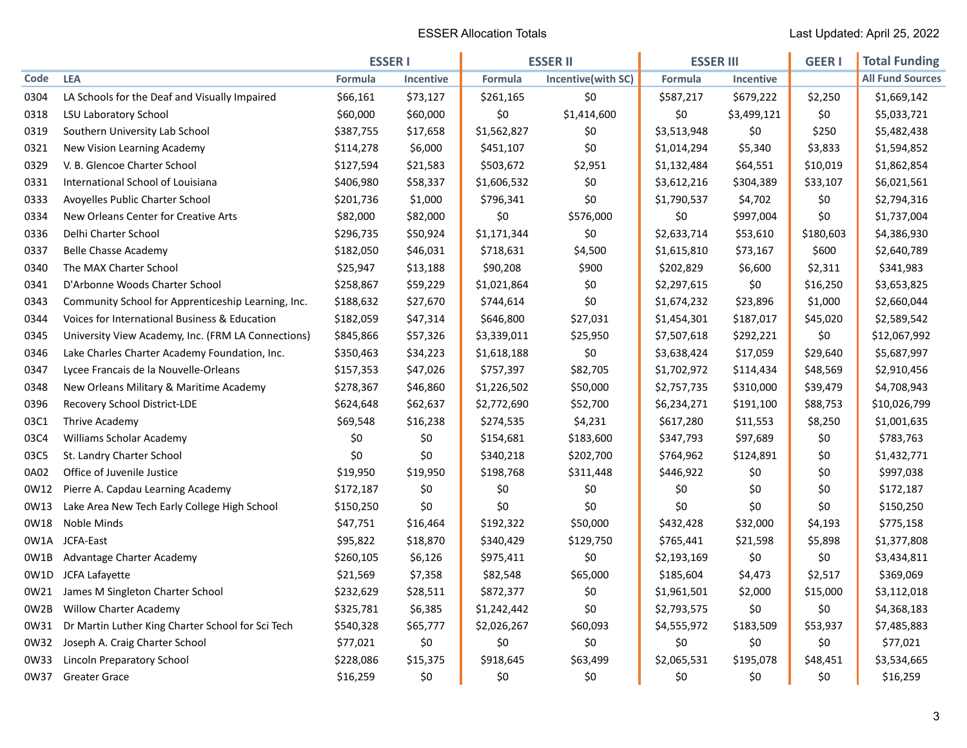|      |                                                    | <b>ESSER1</b> |                  | <b>ESSER II</b> |                    | <b>ESSER III</b> |                  | <b>GEER I</b> | <b>Total Funding</b>    |
|------|----------------------------------------------------|---------------|------------------|-----------------|--------------------|------------------|------------------|---------------|-------------------------|
| Code | <b>LEA</b>                                         | Formula       | <b>Incentive</b> | <b>Formula</b>  | Incentive(with SC) | Formula          | <b>Incentive</b> |               | <b>All Fund Sources</b> |
| 0304 | LA Schools for the Deaf and Visually Impaired      | \$66,161      | \$73,127         | \$261,165       | \$0                | \$587,217        | \$679,222        | \$2,250       | \$1,669,142             |
| 0318 | <b>LSU Laboratory School</b>                       | \$60,000      | \$60,000         | \$0             | \$1,414,600        | \$0              | \$3,499,121      | \$0           | \$5,033,721             |
| 0319 | Southern University Lab School                     | \$387,755     | \$17,658         | \$1,562,827     | \$0                | \$3,513,948      | \$0              | \$250         | \$5,482,438             |
| 0321 | New Vision Learning Academy                        | \$114,278     | \$6,000          | \$451,107       | \$0                | \$1,014,294      | \$5,340          | \$3,833       | \$1,594,852             |
| 0329 | V. B. Glencoe Charter School                       | \$127,594     | \$21,583         | \$503,672       | \$2,951            | \$1,132,484      | \$64,551         | \$10,019      | \$1,862,854             |
| 0331 | International School of Louisiana                  | \$406,980     | \$58,337         | \$1,606,532     | \$0                | \$3,612,216      | \$304,389        | \$33,107      | \$6,021,561             |
| 0333 | Avoyelles Public Charter School                    | \$201,736     | \$1,000          | \$796,341       | \$0                | \$1,790,537      | \$4,702          | \$0           | \$2,794,316             |
| 0334 | New Orleans Center for Creative Arts               | \$82,000      | \$82,000         | \$0             | \$576,000          | \$0              | \$997,004        | \$0           | \$1,737,004             |
| 0336 | Delhi Charter School                               | \$296,735     | \$50,924         | \$1,171,344     | \$0                | \$2,633,714      | \$53,610         | \$180,603     | \$4,386,930             |
| 0337 | <b>Belle Chasse Academy</b>                        | \$182,050     | \$46,031         | \$718,631       | \$4,500            | \$1,615,810      | \$73,167         | \$600         | \$2,640,789             |
| 0340 | The MAX Charter School                             | \$25,947      | \$13,188         | \$90,208        | \$900              | \$202,829        | \$6,600          | \$2,311       | \$341,983               |
| 0341 | D'Arbonne Woods Charter School                     | \$258,867     | \$59,229         | \$1,021,864     | \$0                | \$2,297,615      | \$0              | \$16,250      | \$3,653,825             |
| 0343 | Community School for Apprenticeship Learning, Inc. | \$188,632     | \$27,670         | \$744,614       | \$0                | \$1,674,232      | \$23,896         | \$1,000       | \$2,660,044             |
| 0344 | Voices for International Business & Education      | \$182,059     | \$47,314         | \$646,800       | \$27,031           | \$1,454,301      | \$187,017        | \$45,020      | \$2,589,542             |
| 0345 | University View Academy, Inc. (FRM LA Connections) | \$845,866     | \$57,326         | \$3,339,011     | \$25,950           | \$7,507,618      | \$292,221        | \$0           | \$12,067,992            |
| 0346 | Lake Charles Charter Academy Foundation, Inc.      | \$350,463     | \$34,223         | \$1,618,188     | \$0                | \$3,638,424      | \$17,059         | \$29,640      | \$5,687,997             |
| 0347 | Lycee Francais de la Nouvelle-Orleans              | \$157,353     | \$47,026         | \$757,397       | \$82,705           | \$1,702,972      | \$114,434        | \$48,569      | \$2,910,456             |
| 0348 | New Orleans Military & Maritime Academy            | \$278,367     | \$46,860         | \$1,226,502     | \$50,000           | \$2,757,735      | \$310,000        | \$39,479      | \$4,708,943             |
| 0396 | Recovery School District-LDE                       | \$624,648     | \$62,637         | \$2,772,690     | \$52,700           | \$6,234,271      | \$191,100        | \$88,753      | \$10,026,799            |
| 03C1 | Thrive Academy                                     | \$69,548      | \$16,238         | \$274,535       | \$4,231            | \$617,280        | \$11,553         | \$8,250       | \$1,001,635             |
| 03C4 | Williams Scholar Academy                           | \$0           | \$0              | \$154,681       | \$183,600          | \$347,793        | \$97,689         | \$0           | \$783,763               |
| 03C5 | St. Landry Charter School                          | \$0           | \$0              | \$340,218       | \$202,700          | \$764,962        | \$124,891        | \$0           | \$1,432,771             |
| 0A02 | Office of Juvenile Justice                         | \$19,950      | \$19,950         | \$198,768       | \$311,448          | \$446,922        | \$0              | \$0           | \$997,038               |
| 0W12 | Pierre A. Capdau Learning Academy                  | \$172,187     | \$0              | \$0             | \$0                | \$0              | \$0              | \$0           | \$172,187               |
| 0W13 | Lake Area New Tech Early College High School       | \$150,250     | \$0              | \$0             | \$0                | \$0              | \$0              | \$0           | \$150,250               |
| 0W18 | Noble Minds                                        | \$47,751      | \$16,464         | \$192,322       | \$50,000           | \$432,428        | \$32,000         | \$4,193       | \$775,158               |
| 0W1A | JCFA-East                                          | \$95,822      | \$18,870         | \$340,429       | \$129,750          | \$765,441        | \$21,598         | \$5,898       | \$1,377,808             |
| 0W1B | Advantage Charter Academy                          | \$260,105     | \$6,126          | \$975,411       | \$0                | \$2,193,169      | \$0              | \$0           | \$3,434,811             |
| 0W1D | JCFA Lafayette                                     | \$21,569      | \$7,358          | \$82,548        | \$65,000           | \$185,604        | \$4,473          | \$2,517       | \$369,069               |
| 0W21 | James M Singleton Charter School                   | \$232,629     | \$28,511         | \$872,377       | \$0                | \$1,961,501      | \$2,000          | \$15,000      | \$3,112,018             |
| 0W2B | <b>Willow Charter Academy</b>                      | \$325,781     | \$6,385          | \$1,242,442     | \$0                | \$2,793,575      | \$0              | \$0           | \$4,368,183             |
| 0W31 | Dr Martin Luther King Charter School for Sci Tech  | \$540,328     | \$65,777         | \$2,026,267     | \$60,093           | \$4,555,972      | \$183,509        | \$53,937      | \$7,485,883             |
| 0W32 | Joseph A. Craig Charter School                     | \$77,021      | \$0              | \$0             | \$0                | \$0              | \$0              | \$0           | \$77,021                |
| 0W33 | <b>Lincoln Preparatory School</b>                  | \$228,086     | \$15,375         | \$918,645       | \$63,499           | \$2,065,531      | \$195,078        | \$48,451      | \$3,534,665             |
| 0W37 | <b>Greater Grace</b>                               | \$16,259      | \$0              | \$0             | \$0                | \$0              | \$0              | \$0           | \$16,259                |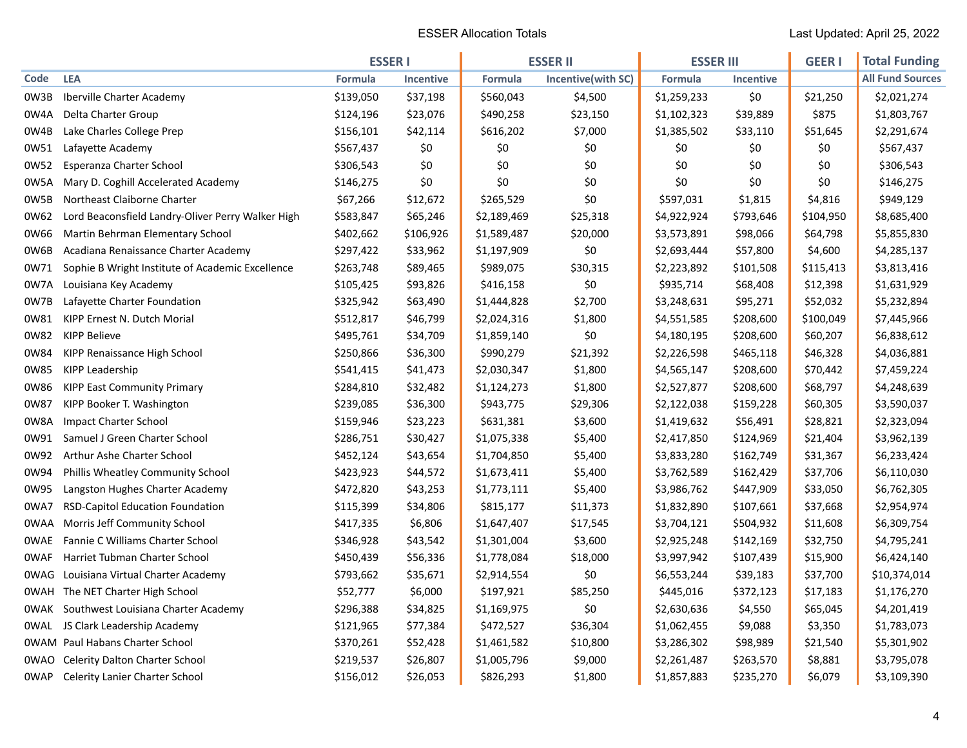|      |                                                   | <b>ESSER I</b> |           | <b>ESSER II</b> |                    | <b>ESSER III</b> |                  | <b>GEER I</b> | <b>Total Funding</b>    |
|------|---------------------------------------------------|----------------|-----------|-----------------|--------------------|------------------|------------------|---------------|-------------------------|
| Code | <b>LEA</b>                                        | Formula        | Incentive | Formula         | Incentive(with SC) | Formula          | <b>Incentive</b> |               | <b>All Fund Sources</b> |
| 0W3B | Iberville Charter Academy                         | \$139,050      | \$37,198  | \$560,043       | \$4,500            | \$1,259,233      | \$0              | \$21,250      | \$2,021,274             |
| 0W4A | Delta Charter Group                               | \$124,196      | \$23,076  | \$490,258       | \$23,150           | \$1,102,323      | \$39,889         | \$875         | \$1,803,767             |
| 0W4B | Lake Charles College Prep                         | \$156,101      | \$42,114  | \$616,202       | \$7,000            | \$1,385,502      | \$33,110         | \$51,645      | \$2,291,674             |
| 0W51 | Lafayette Academy                                 | \$567,437      | \$0       | \$0             | \$0                | \$0              | \$0              | \$0           | \$567,437               |
| 0W52 | Esperanza Charter School                          | \$306,543      | \$0       | \$0             | \$0                | \$0              | \$0              | \$0           | \$306,543               |
| 0W5A | Mary D. Coghill Accelerated Academy               | \$146,275      | \$0       | \$0             | \$0                | \$0              | \$0              | \$0           | \$146,275               |
| 0W5B | Northeast Claiborne Charter                       | \$67,266       | \$12,672  | \$265,529       | \$0                | \$597,031        | \$1,815          | \$4,816       | \$949,129               |
| 0W62 | Lord Beaconsfield Landry-Oliver Perry Walker High | \$583,847      | \$65,246  | \$2,189,469     | \$25,318           | \$4,922,924      | \$793,646        | \$104,950     | \$8,685,400             |
| 0W66 | Martin Behrman Elementary School                  | \$402,662      | \$106,926 | \$1,589,487     | \$20,000           | \$3,573,891      | \$98,066         | \$64,798      | \$5,855,830             |
| 0W6B | Acadiana Renaissance Charter Academy              | \$297,422      | \$33,962  | \$1,197,909     | \$0                | \$2,693,444      | \$57,800         | \$4,600       | \$4,285,137             |
| 0W71 | Sophie B Wright Institute of Academic Excellence  | \$263,748      | \$89,465  | \$989,075       | \$30,315           | \$2,223,892      | \$101,508        | \$115,413     | \$3,813,416             |
| 0W7A | Louisiana Key Academy                             | \$105,425      | \$93,826  | \$416,158       | \$0                | \$935,714        | \$68,408         | \$12,398      | \$1,631,929             |
| 0W7B | Lafayette Charter Foundation                      | \$325,942      | \$63,490  | \$1,444,828     | \$2,700            | \$3,248,631      | \$95,271         | \$52,032      | \$5,232,894             |
| 0W81 | KIPP Ernest N. Dutch Morial                       | \$512,817      | \$46,799  | \$2,024,316     | \$1,800            | \$4,551,585      | \$208,600        | \$100,049     | \$7,445,966             |
| 0W82 | <b>KIPP Believe</b>                               | \$495,761      | \$34,709  | \$1,859,140     | \$0                | \$4,180,195      | \$208,600        | \$60,207      | \$6,838,612             |
| 0W84 | KIPP Renaissance High School                      | \$250,866      | \$36,300  | \$990,279       | \$21,392           | \$2,226,598      | \$465,118        | \$46,328      | \$4,036,881             |
| 0W85 | KIPP Leadership                                   | \$541,415      | \$41,473  | \$2,030,347     | \$1,800            | \$4,565,147      | \$208,600        | \$70,442      | \$7,459,224             |
| 0W86 | <b>KIPP East Community Primary</b>                | \$284,810      | \$32,482  | \$1,124,273     | \$1,800            | \$2,527,877      | \$208,600        | \$68,797      | \$4,248,639             |
| 0W87 | KIPP Booker T. Washington                         | \$239,085      | \$36,300  | \$943,775       | \$29,306           | \$2,122,038      | \$159,228        | \$60,305      | \$3,590,037             |
| 0W8A | <b>Impact Charter School</b>                      | \$159,946      | \$23,223  | \$631,381       | \$3,600            | \$1,419,632      | \$56,491         | \$28,821      | \$2,323,094             |
| 0W91 | Samuel J Green Charter School                     | \$286,751      | \$30,427  | \$1,075,338     | \$5,400            | \$2,417,850      | \$124,969        | \$21,404      | \$3,962,139             |
| 0W92 | Arthur Ashe Charter School                        | \$452,124      | \$43,654  | \$1,704,850     | \$5,400            | \$3,833,280      | \$162,749        | \$31,367      | \$6,233,424             |
| 0W94 | Phillis Wheatley Community School                 | \$423,923      | \$44,572  | \$1,673,411     | \$5,400            | \$3,762,589      | \$162,429        | \$37,706      | \$6,110,030             |
| 0W95 | Langston Hughes Charter Academy                   | \$472,820      | \$43,253  | \$1,773,111     | \$5,400            | \$3,986,762      | \$447,909        | \$33,050      | \$6,762,305             |
| 0WA7 | <b>RSD-Capitol Education Foundation</b>           | \$115,399      | \$34,806  | \$815,177       | \$11,373           | \$1,832,890      | \$107,661        | \$37,668      | \$2,954,974             |
| 0WAA | Morris Jeff Community School                      | \$417,335      | \$6,806   | \$1,647,407     | \$17,545           | \$3,704,121      | \$504,932        | \$11,608      | \$6,309,754             |
| 0WAE | Fannie C Williams Charter School                  | \$346,928      | \$43,542  | \$1,301,004     | \$3,600            | \$2,925,248      | \$142,169        | \$32,750      | \$4,795,241             |
| 0WAF | Harriet Tubman Charter School                     | \$450,439      | \$56,336  | \$1,778,084     | \$18,000           | \$3,997,942      | \$107,439        | \$15,900      | \$6,424,140             |
| 0WAG | Louisiana Virtual Charter Academy                 | \$793,662      | \$35,671  | \$2,914,554     | \$0                | \$6,553,244      | \$39,183         | \$37,700      | \$10,374,014            |
| 0WAH | The NET Charter High School                       | \$52,777       | \$6,000   | \$197,921       | \$85,250           | \$445,016        | \$372,123        | \$17,183      | \$1,176,270             |
| 0WAK | Southwest Louisiana Charter Academy               | \$296,388      | \$34,825  | \$1,169,975     | \$0                | \$2,630,636      | \$4,550          | \$65,045      | \$4,201,419             |
| 0WAL | JS Clark Leadership Academy                       | \$121,965      | \$77,384  | \$472,527       | \$36,304           | \$1,062,455      | \$9,088          | \$3,350       | \$1,783,073             |
|      | <b>OWAM</b> Paul Habans Charter School            | \$370,261      | \$52,428  | \$1,461,582     | \$10,800           | \$3,286,302      | \$98,989         | \$21,540      | \$5,301,902             |
| 0WAO | <b>Celerity Dalton Charter School</b>             | \$219,537      | \$26,807  | \$1,005,796     | \$9,000            | \$2,261,487      | \$263,570        | \$8,881       | \$3,795,078             |
| 0WAP | <b>Celerity Lanier Charter School</b>             | \$156,012      | \$26,053  | \$826,293       | \$1,800            | \$1,857,883      | \$235,270        | \$6,079       | \$3,109,390             |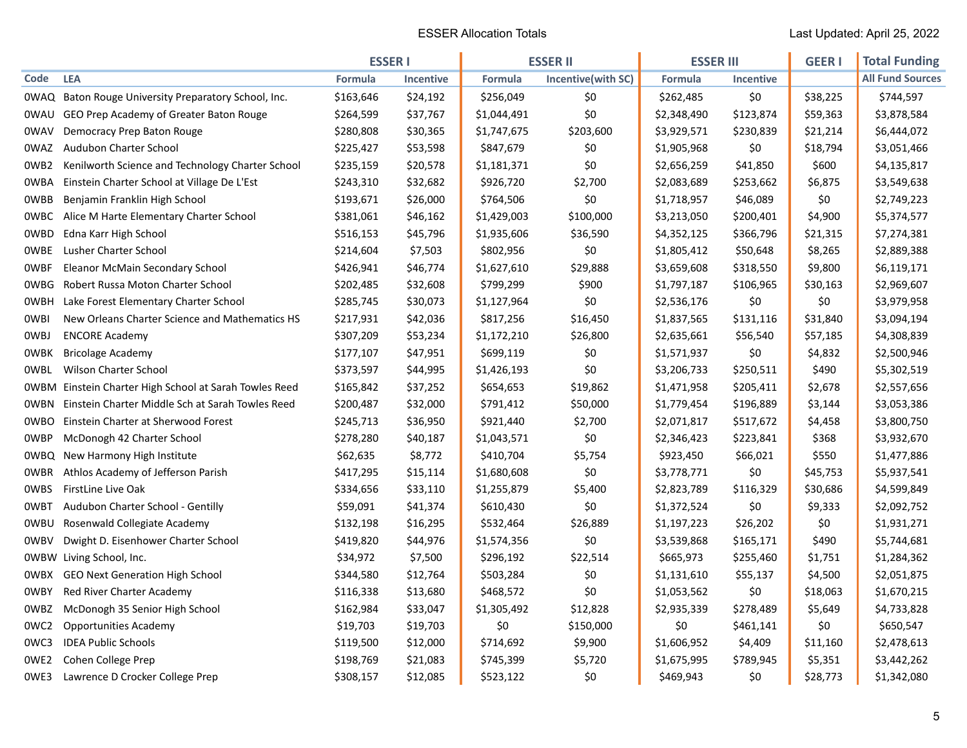|             |                                                      | <b>ESSER1</b> |                  | <b>ESSER II</b> |                    | <b>ESSER III</b> |                  | <b>GEER I</b> | <b>Total Funding</b>    |
|-------------|------------------------------------------------------|---------------|------------------|-----------------|--------------------|------------------|------------------|---------------|-------------------------|
| Code        | <b>LEA</b>                                           | Formula       | <b>Incentive</b> | Formula         | Incentive(with SC) | Formula          | <b>Incentive</b> |               | <b>All Fund Sources</b> |
|             | OWAQ Baton Rouge University Preparatory School, Inc. | \$163,646     | \$24,192         | \$256,049       | \$0                | \$262,485        | \$0              | \$38,225      | \$744,597               |
| 0WAU        | GEO Prep Academy of Greater Baton Rouge              | \$264,599     | \$37,767         | \$1,044,491     | \$0                | \$2,348,490      | \$123,874        | \$59,363      | \$3,878,584             |
| 0WAV        | Democracy Prep Baton Rouge                           | \$280,808     | \$30,365         | \$1,747,675     | \$203,600          | \$3,929,571      | \$230,839        | \$21,214      | \$6,444,072             |
| 0WAZ        | Audubon Charter School                               | \$225,427     | \$53,598         | \$847,679       | \$0                | \$1,905,968      | \$0              | \$18,794      | \$3,051,466             |
| 0WB2        | Kenilworth Science and Technology Charter School     | \$235,159     | \$20,578         | \$1,181,371     | \$0                | \$2,656,259      | \$41,850         | \$600         | \$4,135,817             |
| 0WBA        | Einstein Charter School at Village De L'Est          | \$243,310     | \$32,682         | \$926,720       | \$2,700            | \$2,083,689      | \$253,662        | \$6,875       | \$3,549,638             |
| <b>OWBB</b> | Benjamin Franklin High School                        | \$193,671     | \$26,000         | \$764,506       | \$0                | \$1,718,957      | \$46,089         | \$0           | \$2,749,223             |
| 0WBC        | Alice M Harte Elementary Charter School              | \$381,061     | \$46,162         | \$1,429,003     | \$100,000          | \$3,213,050      | \$200,401        | \$4,900       | \$5,374,577             |
| 0WBD        | Edna Karr High School                                | \$516,153     | \$45,796         | \$1,935,606     | \$36,590           | \$4,352,125      | \$366,796        | \$21,315      | \$7,274,381             |
| <b>OWBE</b> | <b>Lusher Charter School</b>                         | \$214,604     | \$7,503          | \$802,956       | \$0                | \$1,805,412      | \$50,648         | \$8,265       | \$2,889,388             |
| 0WBF        | Eleanor McMain Secondary School                      | \$426,941     | \$46,774         | \$1,627,610     | \$29,888           | \$3,659,608      | \$318,550        | \$9,800       | \$6,119,171             |
| 0WBG        | Robert Russa Moton Charter School                    | \$202,485     | \$32,608         | \$799,299       | \$900              | \$1,797,187      | \$106,965        | \$30,163      | \$2,969,607             |
| 0WBH        | Lake Forest Elementary Charter School                | \$285,745     | \$30,073         | \$1,127,964     | \$0                | \$2,536,176      | \$0              | \$0           | \$3,979,958             |
| 0WBI        | New Orleans Charter Science and Mathematics HS       | \$217,931     | \$42,036         | \$817,256       | \$16,450           | \$1,837,565      | \$131,116        | \$31,840      | \$3,094,194             |
| 0WBJ        | <b>ENCORE Academy</b>                                | \$307,209     | \$53,234         | \$1,172,210     | \$26,800           | \$2,635,661      | \$56,540         | \$57,185      | \$4,308,839             |
| <b>OWBK</b> | <b>Bricolage Academy</b>                             | \$177,107     | \$47,951         | \$699,119       | \$0                | \$1,571,937      | \$0              | \$4,832       | \$2,500,946             |
| <b>OWBL</b> | <b>Wilson Charter School</b>                         | \$373,597     | \$44,995         | \$1,426,193     | \$0                | \$3,206,733      | \$250,511        | \$490         | \$5,302,519             |
| 0WBM        | Einstein Charter High School at Sarah Towles Reed    | \$165,842     | \$37,252         | \$654,653       | \$19,862           | \$1,471,958      | \$205,411        | \$2,678       | \$2,557,656             |
| <b>OWBN</b> | Einstein Charter Middle Sch at Sarah Towles Reed     | \$200,487     | \$32,000         | \$791,412       | \$50,000           | \$1,779,454      | \$196,889        | \$3,144       | \$3,053,386             |
| 0WBO        | Einstein Charter at Sherwood Forest                  | \$245,713     | \$36,950         | \$921,440       | \$2,700            | \$2,071,817      | \$517,672        | \$4,458       | \$3,800,750             |
| 0WBP        | McDonogh 42 Charter School                           | \$278,280     | \$40,187         | \$1,043,571     | \$0                | \$2,346,423      | \$223,841        | \$368         | \$3,932,670             |
| 0WBQ        | New Harmony High Institute                           | \$62,635      | \$8,772          | \$410,704       | \$5,754            | \$923,450        | \$66,021         | \$550         | \$1,477,886             |
| 0WBR        | Athlos Academy of Jefferson Parish                   | \$417,295     | \$15,114         | \$1,680,608     | \$0                | \$3,778,771      | \$0              | \$45,753      | \$5,937,541             |
| 0WBS        | FirstLine Live Oak                                   | \$334,656     | \$33,110         | \$1,255,879     | \$5,400            | \$2,823,789      | \$116,329        | \$30,686      | \$4,599,849             |
| 0WBT        | Audubon Charter School - Gentilly                    | \$59,091      | \$41,374         | \$610,430       | \$0                | \$1,372,524      | \$0              | \$9,333       | \$2,092,752             |
| 0WBU        | Rosenwald Collegiate Academy                         | \$132,198     | \$16,295         | \$532,464       | \$26,889           | \$1,197,223      | \$26,202         | \$0           | \$1,931,271             |
| 0WBV        | Dwight D. Eisenhower Charter School                  | \$419,820     | \$44,976         | \$1,574,356     | \$0                | \$3,539,868      | \$165,171        | \$490         | \$5,744,681             |
|             | OWBW Living School, Inc.                             | \$34,972      | \$7,500          | \$296,192       | \$22,514           | \$665,973        | \$255,460        | \$1,751       | \$1,284,362             |
| 0WBX        | <b>GEO Next Generation High School</b>               | \$344,580     | \$12,764         | \$503,284       | \$0                | \$1,131,610      | \$55,137         | \$4,500       | \$2,051,875             |
| 0WBY        | Red River Charter Academy                            | \$116,338     | \$13,680         | \$468,572       | \$0                | \$1,053,562      | \$0              | \$18,063      | \$1,670,215             |
| 0WBZ        | McDonogh 35 Senior High School                       | \$162,984     | \$33,047         | \$1,305,492     | \$12,828           | \$2,935,339      | \$278,489        | \$5,649       | \$4,733,828             |
| 0WC2        | <b>Opportunities Academy</b>                         | \$19,703      | \$19,703         | \$0             | \$150,000          | \$0              | \$461,141        | \$0           | \$650,547               |
| 0WC3        | <b>IDEA Public Schools</b>                           | \$119,500     | \$12,000         | \$714,692       | \$9,900            | \$1,606,952      | \$4,409          | \$11,160      | \$2,478,613             |
| OWE2        | Cohen College Prep                                   | \$198,769     | \$21,083         | \$745,399       | \$5,720            | \$1,675,995      | \$789,945        | \$5,351       | \$3,442,262             |
| 0WE3        | Lawrence D Crocker College Prep                      | \$308,157     | \$12,085         | \$523,122       | \$0                | \$469,943        | \$0              | \$28,773      | \$1,342,080             |